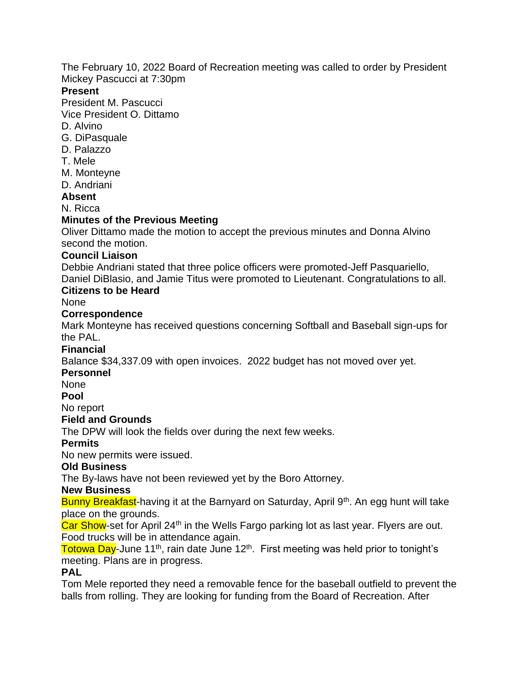The February 10, 2022 Board of Recreation meeting was called to order by President Mickey Pascucci at 7:30pm

### **Present**

President M. Pascucci

Vice President O. Dittamo

- D. Alvino
- G. DiPasquale
- D. Palazzo
- T. Mele
- M. Monteyne
- D. Andriani

## **Absent**

N. Ricca

# **Minutes of the Previous Meeting**

Oliver Dittamo made the motion to accept the previous minutes and Donna Alvino second the motion.

## **Council Liaison**

Debbie Andriani stated that three police officers were promoted-Jeff Pasquariello, Daniel DiBlasio, and Jamie Titus were promoted to Lieutenant. Congratulations to all.

# **Citizens to be Heard**

None

## **Correspondence**

Mark Monteyne has received questions concerning Softball and Baseball sign-ups for the PAL.

## **Financial**

Balance \$34,337.09 with open invoices. 2022 budget has not moved over yet.

#### **Personnel**

None

**Pool**

No report

#### **Field and Grounds**

The DPW will look the fields over during the next few weeks.

## **Permits**

No new permits were issued.

## **Old Business**

The By-laws have not been reviewed yet by the Boro Attorney.

#### **New Business**

Bunny Breakfast-having it at the Barnyard on Saturday, April 9<sup>th</sup>. An egg hunt will take place on the grounds.

Car Show-set for April 24<sup>th</sup> in the Wells Fargo parking lot as last year. Flyers are out. Food trucks will be in attendance again.

Totowa Day-June 11<sup>th</sup>, rain date June 12<sup>th</sup>. First meeting was held prior to tonight's meeting. Plans are in progress.

## **PAL**

Tom Mele reported they need a removable fence for the baseball outfield to prevent the balls from rolling. They are looking for funding from the Board of Recreation. After